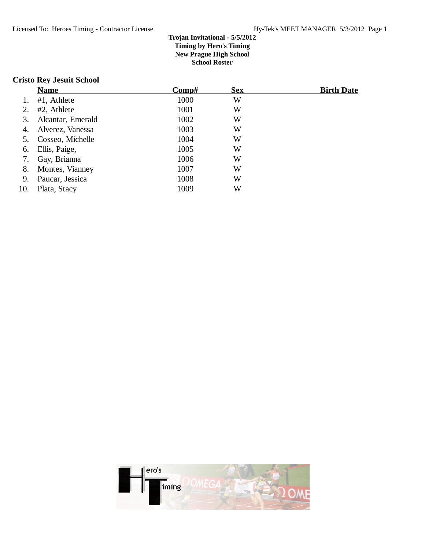## **Cristo Rey Jesuit School**

|     | <b>Name</b>        | $\bf Comp\#$ | <b>Sex</b> | <b>Birth Date</b> |
|-----|--------------------|--------------|------------|-------------------|
|     | #1, Athlete        | 1000         | W          |                   |
| 2.  | #2, Athlete        | 1001         | W          |                   |
| 3.  | Alcantar, Emerald  | 1002         | W          |                   |
| 4.  | Alverez, Vanessa   | 1003         | W          |                   |
| 5.  | Cosseo, Michelle   | 1004         | W          |                   |
| 6.  | Ellis, Paige,      | 1005         | W          |                   |
| 7.  | Gay, Brianna       | 1006         | W          |                   |
|     | 8. Montes, Vianney | 1007         | W          |                   |
| 9.  | Paucar, Jessica    | 1008         | W          |                   |
| 10. | Plata, Stacy       | 1009         | W          |                   |

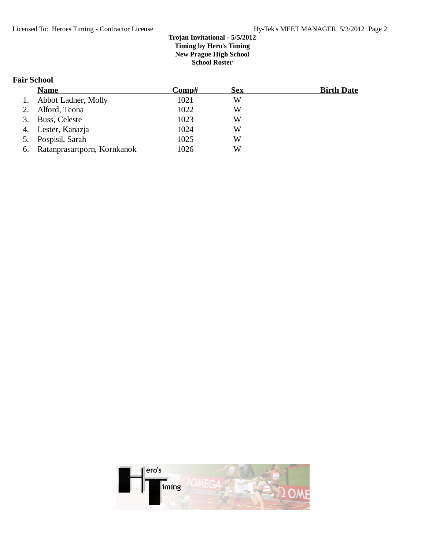# **Fair School**

|    | <b>Name</b>                 | Comp# | <b>Sex</b> | <b>Birth Date</b> |
|----|-----------------------------|-------|------------|-------------------|
| 1. | Abbot Ladner, Molly         | 1021  | W          |                   |
| 2. | Alford, Teona               | 1022  | W          |                   |
|    | 3. Buss, Celeste            | 1023  | W          |                   |
|    | 4. Lester, Kanazja          | 1024  | W          |                   |
|    | 5. Pospisil, Sarah          | 1025  | W          |                   |
| 6. | Ratanprasartporn, Kornkanok | 1026  | W          |                   |

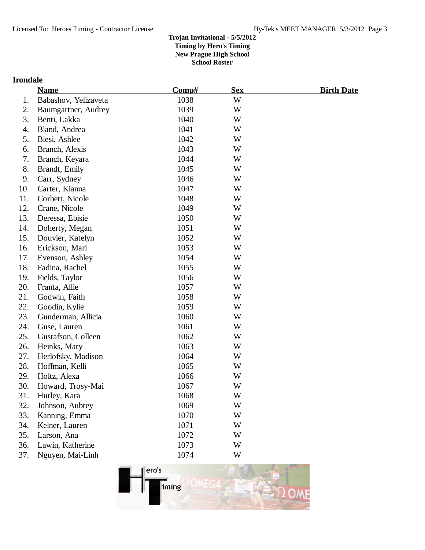# **Irondale**

|     | <b>Name</b>          | Comp# | <b>Sex</b> | <u>Birth Date</u> |
|-----|----------------------|-------|------------|-------------------|
| 1.  | Babashov, Yelizaveta | 1038  | W          |                   |
| 2.  | Baumgartner, Audrey  | 1039  | W          |                   |
| 3.  | Benti, Lakka         | 1040  | W          |                   |
| 4.  | Bland, Andrea        | 1041  | W          |                   |
| 5.  | Blesi, Ashlee        | 1042  | W          |                   |
| 6.  | Branch, Alexis       | 1043  | W          |                   |
| 7.  | Branch, Keyara       | 1044  | W          |                   |
| 8.  | Brandt, Emily        | 1045  | W          |                   |
| 9.  | Carr, Sydney         | 1046  | W          |                   |
| 10. | Carter, Kianna       | 1047  | W          |                   |
| 11. | Corbett, Nicole      | 1048  | W          |                   |
| 12. | Crane, Nicole        | 1049  | W          |                   |
| 13. | Deressa, Ebisie      | 1050  | W          |                   |
| 14. | Doherty, Megan       | 1051  | W          |                   |
| 15. | Douvier, Katelyn     | 1052  | W          |                   |
| 16. | Erickson, Mari       | 1053  | W          |                   |
| 17. | Evenson, Ashley      | 1054  | W          |                   |
| 18. | Fadina, Rachel       | 1055  | W          |                   |
| 19. | Fields, Taylor       | 1056  | W          |                   |
| 20. | Franta, Allie        | 1057  | W          |                   |
| 21. | Godwin, Faith        | 1058  | W          |                   |
| 22. | Goodin, Kylie        | 1059  | W          |                   |
| 23. | Gunderman, Allicia   | 1060  | W          |                   |
| 24. | Guse, Lauren         | 1061  | W          |                   |
| 25. | Gustafson, Colleen   | 1062  | W          |                   |
| 26. | Heinks, Mary         | 1063  | W          |                   |
| 27. | Herlofsky, Madison   | 1064  | W          |                   |
| 28. | Hoffman, Kelli       | 1065  | W          |                   |
| 29. | Holtz, Alexa         | 1066  | W          |                   |
| 30. | Howard, Trosy-Mai    | 1067  | W          |                   |
| 31. | Hurley, Kara         | 1068  | W          |                   |
| 32. | Johnson, Aubrey      | 1069  | W          |                   |
| 33. | Kanning, Emma        | 1070  | W          |                   |
| 34. | Kelner, Lauren       | 1071  | W          |                   |
| 35. | Larson, Ana          | 1072  | W          |                   |
| 36. | Lawin, Katherine     | 1073  | W          |                   |
| 37. | Nguyen, Mai-Linh     | 1074  | W          |                   |

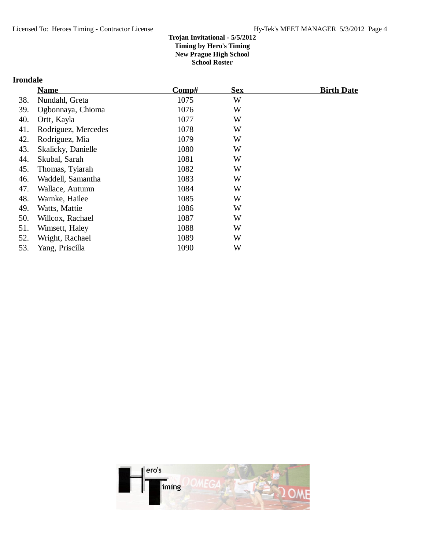# **Irondale**

|     | <b>Name</b>         | Comp# | <b>Sex</b> | <b>Birth Date</b> |
|-----|---------------------|-------|------------|-------------------|
| 38. | Nundahl, Greta      | 1075  | W          |                   |
| 39. | Ogbonnaya, Chioma   | 1076  | W          |                   |
| 40. | Ortt, Kayla         | 1077  | W          |                   |
| 41. | Rodriguez, Mercedes | 1078  | W          |                   |
| 42. | Rodriguez, Mia      | 1079  | W          |                   |
| 43. | Skalicky, Danielle  | 1080  | W          |                   |
| 44. | Skubal, Sarah       | 1081  | W          |                   |
| 45. | Thomas, Tyiarah     | 1082  | W          |                   |
| 46. | Waddell, Samantha   | 1083  | W          |                   |
| 47. | Wallace, Autumn     | 1084  | W          |                   |
| 48. | Warnke, Hailee      | 1085  | W          |                   |
| 49. | Watts, Mattie       | 1086  | W          |                   |
| 50. | Willcox, Rachael    | 1087  | W          |                   |
| 51. | Wimsett, Haley      | 1088  | W          |                   |
| 52. | Wright, Rachael     | 1089  | W          |                   |
| 53. | Yang, Priscilla     | 1090  | W          |                   |

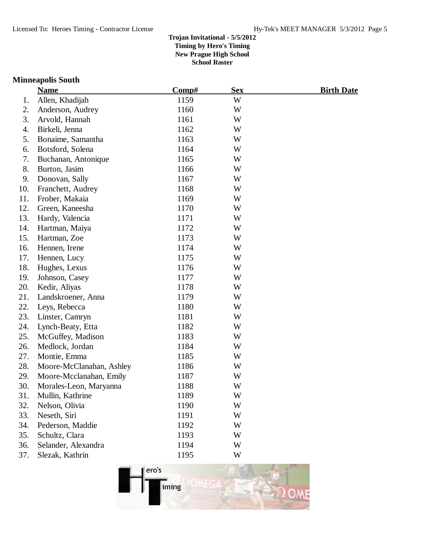### **Minneapolis South**

|     | <b>Name</b>              | Comp# | <b>Sex</b> | <b>Birth Date</b> |
|-----|--------------------------|-------|------------|-------------------|
| 1.  | Allen, Khadijah          | 1159  | W          |                   |
| 2.  | Anderson, Audrey         | 1160  | W          |                   |
| 3.  | Arvold, Hannah           | 1161  | W          |                   |
| 4.  | Birkeli, Jenna           | 1162  | W          |                   |
| 5.  | Bonaime, Samantha        | 1163  | W          |                   |
| 6.  | Botsford, Solena         | 1164  | W          |                   |
| 7.  | Buchanan, Antonique      | 1165  | W          |                   |
| 8.  | Burton, Jasim            | 1166  | W          |                   |
| 9.  | Donovan, Sally           | 1167  | W          |                   |
| 10. | Franchett, Audrey        | 1168  | W          |                   |
| 11. | Frober, Makaia           | 1169  | W          |                   |
| 12. | Green, Kaneesha          | 1170  | W          |                   |
| 13. | Hardy, Valencia          | 1171  | W          |                   |
| 14. | Hartman, Maiya           | 1172  | W          |                   |
| 15. | Hartman, Zoe             | 1173  | W          |                   |
| 16. | Hennen, Irene            | 1174  | W          |                   |
| 17. | Hennen, Lucy             | 1175  | W          |                   |
| 18. | Hughes, Lexus            | 1176  | W          |                   |
| 19. | Johnson, Casey           | 1177  | W          |                   |
| 20. | Kedir, Aliyas            | 1178  | W          |                   |
| 21. | Landskroener, Anna       | 1179  | W          |                   |
| 22. | Leys, Rebecca            | 1180  | W          |                   |
| 23. | Linster, Camryn          | 1181  | W          |                   |
| 24. | Lynch-Beaty, Etta        | 1182  | W          |                   |
| 25. | McGuffey, Madison        | 1183  | W          |                   |
| 26. | Medlock, Jordan          | 1184  | W          |                   |
| 27. | Montie, Emma             | 1185  | W          |                   |
| 28. | Moore-McClanahan, Ashley | 1186  | W          |                   |
| 29. | Moore-Mcclanahan, Emily  | 1187  | W          |                   |
| 30. | Morales-Leon, Maryanna   | 1188  | W          |                   |
| 31. | Mullin, Kathrine         | 1189  | W          |                   |
| 32. | Nelson, Olivia           | 1190  | W          |                   |
| 33. | Neseth, Siri             | 1191  | W          |                   |
| 34. | Pederson, Maddie         | 1192  | W          |                   |
| 35. | Schultz, Clara           | 1193  | W          |                   |
| 36. | Selander, Alexandra      | 1194  | W          |                   |
| 37. | Slezak, Kathrin          | 1195  | W          |                   |

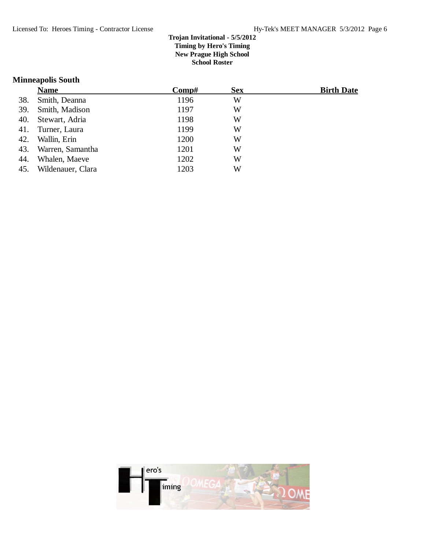### **Minneapolis South**

|     | <b>Name</b>       | $\bf Comp\#$ | <b>Sex</b> | <b>Birth Date</b> |
|-----|-------------------|--------------|------------|-------------------|
| 38. | Smith, Deanna     | 1196         | W          |                   |
| 39. | Smith, Madison    | 1197         | W          |                   |
| 40. | Stewart, Adria    | 1198         | W          |                   |
| 41. | Turner, Laura     | 1199         | W          |                   |
| 42. | Wallin, Erin      | 1200         | W          |                   |
| 43. | Warren, Samantha  | 1201         | W          |                   |
| 44. | Whalen, Maeve     | 1202         | W          |                   |
| 45. | Wildenauer, Clara | 1203         | W          |                   |

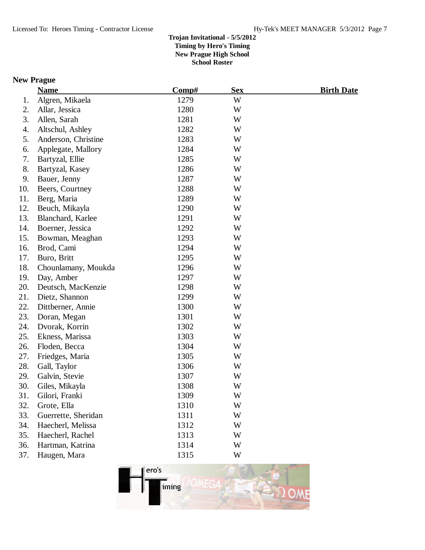# **New Prague**

|     | <b>Name</b>         | Comp# | <b>Sex</b> | <u>Birth Date</u> |
|-----|---------------------|-------|------------|-------------------|
| 1.  | Algren, Mikaela     | 1279  | W          |                   |
| 2.  | Allar, Jessica      | 1280  | W          |                   |
| 3.  | Allen, Sarah        | 1281  | W          |                   |
| 4.  | Altschul, Ashley    | 1282  | W          |                   |
| 5.  | Anderson, Christine | 1283  | W          |                   |
| 6.  | Applegate, Mallory  | 1284  | W          |                   |
| 7.  | Bartyzal, Ellie     | 1285  | W          |                   |
| 8.  | Bartyzal, Kasey     | 1286  | W          |                   |
| 9.  | Bauer, Jenny        | 1287  | W          |                   |
| 10. | Beers, Courtney     | 1288  | W          |                   |
| 11. | Berg, Maria         | 1289  | W          |                   |
| 12. | Beuch, Mikayla      | 1290  | W          |                   |
| 13. | Blanchard, Karlee   | 1291  | W          |                   |
| 14. | Boerner, Jessica    | 1292  | W          |                   |
| 15. | Bowman, Meaghan     | 1293  | W          |                   |
| 16. | Brod, Cami          | 1294  | W          |                   |
| 17. | Buro, Britt         | 1295  | W          |                   |
| 18. | Chounlamany, Moukda | 1296  | W          |                   |
| 19. | Day, Amber          | 1297  | W          |                   |
| 20. | Deutsch, MacKenzie  | 1298  | W          |                   |
| 21. | Dietz, Shannon      | 1299  | W          |                   |
| 22. | Dittberner, Annie   | 1300  | W          |                   |
| 23. | Doran, Megan        | 1301  | W          |                   |
| 24. | Dvorak, Korrin      | 1302  | W          |                   |
| 25. | Ekness, Marissa     | 1303  | W          |                   |
| 26. | Floden, Becca       | 1304  | W          |                   |
| 27. | Friedges, Maria     | 1305  | W          |                   |
| 28. | Gall, Taylor        | 1306  | W          |                   |
| 29. | Galvin, Stevie      | 1307  | W          |                   |
| 30. | Giles, Mikayla      | 1308  | W          |                   |
| 31. | Gilori, Franki      | 1309  | W          |                   |
| 32. | Grote, Ella         | 1310  | W          |                   |
| 33. | Guerrette, Sheridan | 1311  | W          |                   |
| 34. | Haecherl, Melissa   | 1312  | W          |                   |
| 35. | Haecherl, Rachel    | 1313  | W          |                   |
| 36. | Hartman, Katrina    | 1314  | W          |                   |
| 37. | Haugen, Mara        | 1315  | W          |                   |

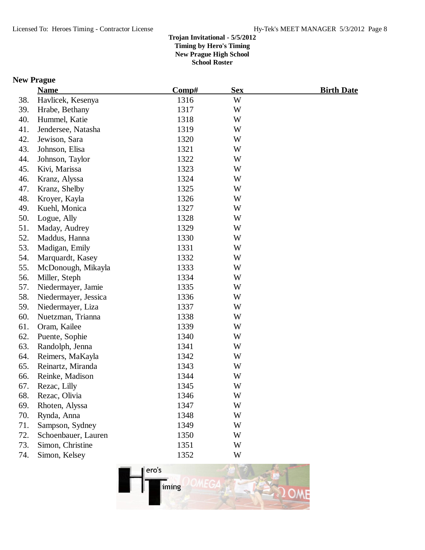## **New Prague**

|     | <b>Name</b>          | Comp# | <b>Sex</b> | <b>Birth Date</b> |
|-----|----------------------|-------|------------|-------------------|
| 38. | Havlicek, Kesenya    | 1316  | W          |                   |
| 39. | Hrabe, Bethany       | 1317  | W          |                   |
| 40. | Hummel, Katie        | 1318  | W          |                   |
| 41. | Jendersee, Natasha   | 1319  | W          |                   |
| 42. | Jewison, Sara        | 1320  | W          |                   |
| 43. | Johnson, Elisa       | 1321  | W          |                   |
| 44. | Johnson, Taylor      | 1322  | W          |                   |
| 45. | Kivi, Marissa        | 1323  | W          |                   |
| 46. | Kranz, Alyssa        | 1324  | W          |                   |
| 47. | Kranz, Shelby        | 1325  | W          |                   |
| 48. | Kroyer, Kayla        | 1326  | W          |                   |
| 49. | Kuehl, Monica        | 1327  | W          |                   |
| 50. | Logue, Ally          | 1328  | W          |                   |
| 51. | Maday, Audrey        | 1329  | W          |                   |
| 52. | Maddus, Hanna        | 1330  | W          |                   |
| 53. | Madigan, Emily       | 1331  | W          |                   |
| 54. | Marquardt, Kasey     | 1332  | W          |                   |
| 55. | McDonough, Mikayla   | 1333  | W          |                   |
| 56. | Miller, Steph        | 1334  | W          |                   |
| 57. | Niedermayer, Jamie   | 1335  | W          |                   |
| 58. | Niedermayer, Jessica | 1336  | W          |                   |
| 59. | Niedermayer, Liza    | 1337  | W          |                   |
| 60. | Nuetzman, Trianna    | 1338  | W          |                   |
| 61. | Oram, Kailee         | 1339  | W          |                   |
| 62. | Puente, Sophie       | 1340  | W          |                   |
| 63. | Randolph, Jenna      | 1341  | W          |                   |
| 64. | Reimers, MaKayla     | 1342  | W          |                   |
| 65. | Reinartz, Miranda    | 1343  | W          |                   |
| 66. | Reinke, Madison      | 1344  | W          |                   |
| 67. | Rezac, Lilly         | 1345  | W          |                   |
| 68. | Rezac, Olivia        | 1346  | W          |                   |
| 69. | Rhoten, Alyssa       | 1347  | W          |                   |
| 70. | Rynda, Anna          | 1348  | W          |                   |
| 71. | Sampson, Sydney      | 1349  | W          |                   |
| 72. | Schoenbauer, Lauren  | 1350  | W          |                   |
| 73. | Simon, Christine     | 1351  | W          |                   |
| 74. | Simon, Kelsey        | 1352  | W          |                   |
|     |                      |       |            |                   |

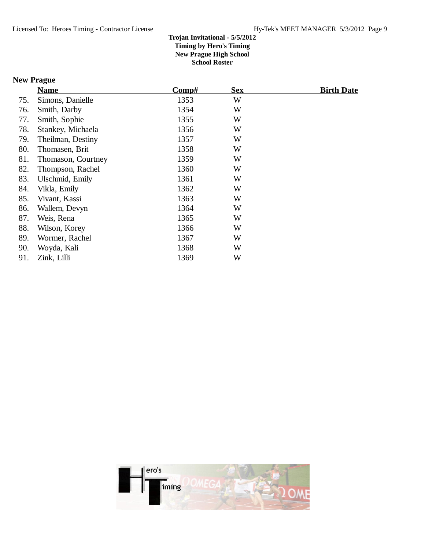## **New Prague**

|     | <b>Name</b>        | Comp# | <b>Sex</b> | <b>Birth Date</b> |
|-----|--------------------|-------|------------|-------------------|
| 75. | Simons, Danielle   | 1353  | W          |                   |
| 76. | Smith, Darby       | 1354  | W          |                   |
| 77. | Smith, Sophie      | 1355  | W          |                   |
| 78. | Stankey, Michaela  | 1356  | W          |                   |
| 79. | Theilman, Destiny  | 1357  | W          |                   |
| 80. | Thomasen, Brit     | 1358  | W          |                   |
| 81. | Thomason, Courtney | 1359  | W          |                   |
| 82. | Thompson, Rachel   | 1360  | W          |                   |
| 83. | Ulschmid, Emily    | 1361  | W          |                   |
| 84. | Vikla, Emily       | 1362  | W          |                   |
| 85. | Vivant, Kassi      | 1363  | W          |                   |
| 86. | Wallem, Devyn      | 1364  | W          |                   |
| 87. | Weis, Rena         | 1365  | W          |                   |
| 88. | Wilson, Korey      | 1366  | W          |                   |
| 89. | Wormer, Rachel     | 1367  | W          |                   |
| 90. | Woyda, Kali        | 1368  | W          |                   |
| 91. | Zink, Lilli        | 1369  | W          |                   |

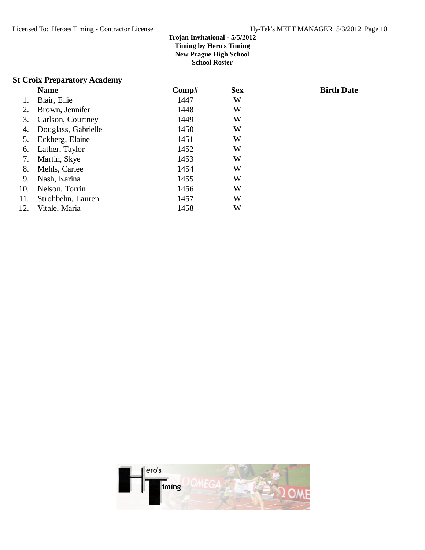## **St Croix Preparatory Academy**

|     | <b>Name</b>         | Comp# | <b>Sex</b> | <b>Birth Date</b> |
|-----|---------------------|-------|------------|-------------------|
|     | Blair, Ellie        | 1447  | W          |                   |
| 2.  | Brown, Jennifer     | 1448  | W          |                   |
| 3.  | Carlson, Courtney   | 1449  | W          |                   |
| 4.  | Douglass, Gabrielle | 1450  | W          |                   |
| 5.  | Eckberg, Elaine     | 1451  | W          |                   |
| 6.  | Lather, Taylor      | 1452  | W          |                   |
| 7.  | Martin, Skye        | 1453  | W          |                   |
| 8.  | Mehls, Carlee       | 1454  | W          |                   |
| 9.  | Nash, Karina        | 1455  | W          |                   |
| 10. | Nelson, Torrin      | 1456  | W          |                   |
| 11. | Strohbehn, Lauren   | 1457  | W          |                   |
| 12. | Vitale, Maria       | 1458  | W          |                   |

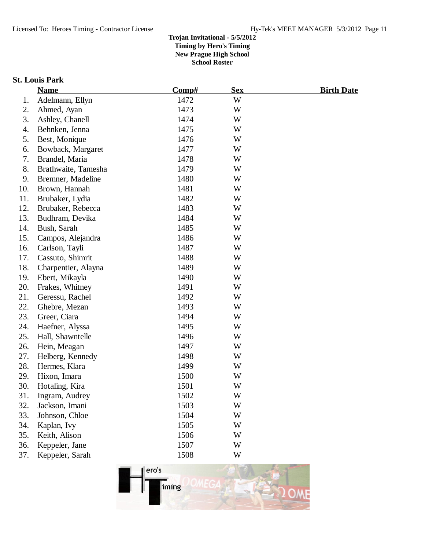### **St. Louis Park**

|     | <b>Name</b>         | Comp# | <b>Sex</b> | <u>Birth Date</u> |
|-----|---------------------|-------|------------|-------------------|
| 1.  | Adelmann, Ellyn     | 1472  | W          |                   |
| 2.  | Ahmed, Ayan         | 1473  | W          |                   |
| 3.  | Ashley, Chanell     | 1474  | W          |                   |
| 4.  | Behnken, Jenna      | 1475  | W          |                   |
| 5.  | Best, Monique       | 1476  | W          |                   |
| 6.  | Bowback, Margaret   | 1477  | W          |                   |
| 7.  | Brandel, Maria      | 1478  | W          |                   |
| 8.  | Brathwaite, Tamesha | 1479  | W          |                   |
| 9.  | Bremner, Madeline   | 1480  | W          |                   |
| 10. | Brown, Hannah       | 1481  | W          |                   |
| 11. | Brubaker, Lydia     | 1482  | W          |                   |
| 12. | Brubaker, Rebecca   | 1483  | W          |                   |
| 13. | Budhram, Devika     | 1484  | W          |                   |
| 14. | Bush, Sarah         | 1485  | W          |                   |
| 15. | Campos, Alejandra   | 1486  | W          |                   |
| 16. | Carlson, Tayli      | 1487  | W          |                   |
| 17. | Cassuto, Shimrit    | 1488  | W          |                   |
| 18. | Charpentier, Alayna | 1489  | W          |                   |
| 19. | Ebert, Mikayla      | 1490  | W          |                   |
| 20. | Frakes, Whitney     | 1491  | W          |                   |
| 21. | Geressu, Rachel     | 1492  | W          |                   |
| 22. | Ghebre, Mezan       | 1493  | W          |                   |
| 23. | Greer, Ciara        | 1494  | W          |                   |
| 24. | Haefner, Alyssa     | 1495  | W          |                   |
| 25. | Hall, Shawntelle    | 1496  | W          |                   |
| 26. | Hein, Meagan        | 1497  | W          |                   |
| 27. | Helberg, Kennedy    | 1498  | W          |                   |
| 28. | Hermes, Klara       | 1499  | W          |                   |
| 29. | Hixon, Imara        | 1500  | W          |                   |
| 30. | Hotaling, Kira      | 1501  | W          |                   |
| 31. | Ingram, Audrey      | 1502  | W          |                   |
| 32. | Jackson, Imani      | 1503  | W          |                   |
| 33. | Johnson, Chloe      | 1504  | W          |                   |
| 34. | Kaplan, Ivy         | 1505  | W          |                   |
| 35. | Keith, Alison       | 1506  | W          |                   |
| 36. | Keppeler, Jane      | 1507  | W          |                   |
| 37. | Keppeler, Sarah     | 1508  | W          |                   |
|     |                     |       |            |                   |

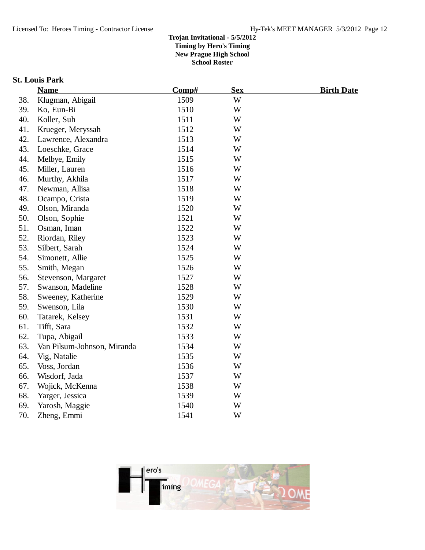### **St. Louis Park**

|     | <b>Name</b>                 | Comp# | <b>Sex</b> | <b>Birth Date</b> |
|-----|-----------------------------|-------|------------|-------------------|
| 38. | Klugman, Abigail            | 1509  | W          |                   |
| 39. | Ko, Eun-Bi                  | 1510  | W          |                   |
| 40. | Koller, Suh                 | 1511  | W          |                   |
| 41. | Krueger, Meryssah           | 1512  | W          |                   |
| 42. | Lawrence, Alexandra         | 1513  | W          |                   |
| 43. | Loeschke, Grace             | 1514  | W          |                   |
| 44. | Melbye, Emily               | 1515  | W          |                   |
| 45. | Miller, Lauren              | 1516  | W          |                   |
| 46. | Murthy, Akhila              | 1517  | W          |                   |
| 47. | Newman, Allisa              | 1518  | W          |                   |
| 48. | Ocampo, Crista              | 1519  | W          |                   |
| 49. | Olson, Miranda              | 1520  | W          |                   |
| 50. | Olson, Sophie               | 1521  | W          |                   |
| 51. | Osman, Iman                 | 1522  | W          |                   |
| 52. | Riordan, Riley              | 1523  | W          |                   |
| 53. | Silbert, Sarah              | 1524  | W          |                   |
| 54. | Simonett, Allie             | 1525  | W          |                   |
| 55. | Smith, Megan                | 1526  | W          |                   |
| 56. | Stevenson, Margaret         | 1527  | W          |                   |
| 57. | Swanson, Madeline           | 1528  | W          |                   |
| 58. | Sweeney, Katherine          | 1529  | W          |                   |
| 59. | Swenson, Lila               | 1530  | W          |                   |
| 60. | Tatarek, Kelsey             | 1531  | W          |                   |
| 61. | Tifft, Sara                 | 1532  | W          |                   |
| 62. | Tupa, Abigail               | 1533  | W          |                   |
| 63. | Van Pilsum-Johnson, Miranda | 1534  | W          |                   |
| 64. | Vig, Natalie                | 1535  | W          |                   |
| 65. | Voss, Jordan                | 1536  | W          |                   |
| 66. | Wisdorf, Jada               | 1537  | W          |                   |
| 67. | Wojick, McKenna             | 1538  | W          |                   |
| 68. | Yarger, Jessica             | 1539  | W          |                   |
| 69. | Yarosh, Maggie              | 1540  | W          |                   |
| 70. | Zheng, Emmi                 | 1541  | W          |                   |